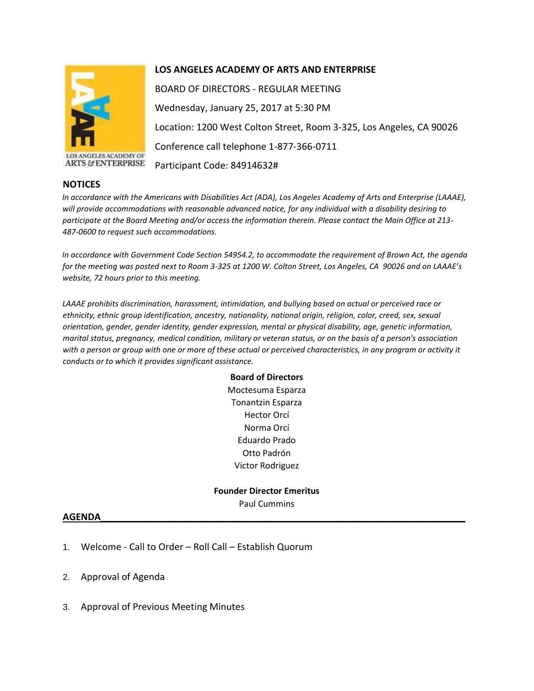

LOS ANGELES ACADEMY OF **ARTS & ENTERPRISE** 

#### **NOTICES**

## **LOS ANGELES ACADEMY OF ARTS AND ENTERPRISE**

BOARD OF DIRECTORS - REGULAR MEETING Wednesday, January 25, 2017 at 5:30 PM Location: 1200 West Colton Street, Room 3-325, Los Angeles, CA 90026 Conference call telephone 1-877-366-0711 Participant Code: 84914632#

*In accordance with the Americans with Disabilities Act (ADA), Los Angeles Academy of Arts and Enterprise (LAAAE), will provide accommodations with reasonable advanced notice, for any individual with a disability desiring to participate at the Board Meeting and/or access the information therein. Please contact the Main Office at 213- 487-0600 to request such accommodations.* 

*In accordance with Government Code Section 54954.2, to accommodate the requirement of Brown Act, the agenda for the meeting was posted next to Room 3-325 at 1200 W. Colton Street, Los Angeles, CA 90026 and on LAAAE's website, 72 hours prior to this meeting.* 

*LAAAE prohibits discrimination, harassment, intimidation, and bullying based on actual or perceived race or ethnicity, ethnic group identification, ancestry, nationality, national origin, religion, color, creed, sex, sexual orientation, gender, gender identity, gender expression, mental or physical disability, age, genetic information, marital status, pregnancy, medical condition, military or veteran status, or on the basis of a person's association with a person or group with one or more of these actual or perceived characteristics, in any program or activity it conducts or to which it provides significant assistance.* 

> **Board of Directors** Moctesuma Esparza Tonantzin Esparza Hector Orcí Norma Orcí Eduardo Prado Otto Padrón Victor Rodriguez

#### **Founder Director Emeritus** Paul Cummins

# **AGENDA\_\_\_\_\_\_\_\_\_\_\_\_\_\_\_\_\_\_\_\_\_\_\_\_\_\_\_\_\_\_\_\_\_\_\_\_\_\_\_\_\_\_\_\_\_\_\_\_\_\_\_\_\_\_\_\_\_\_\_\_\_\_\_\_\_\_\_\_\_\_**

- 1. Welcome Call to Order Roll Call Establish Quorum
- 2. Approval of Agenda
- 3. Approval of Previous Meeting Minutes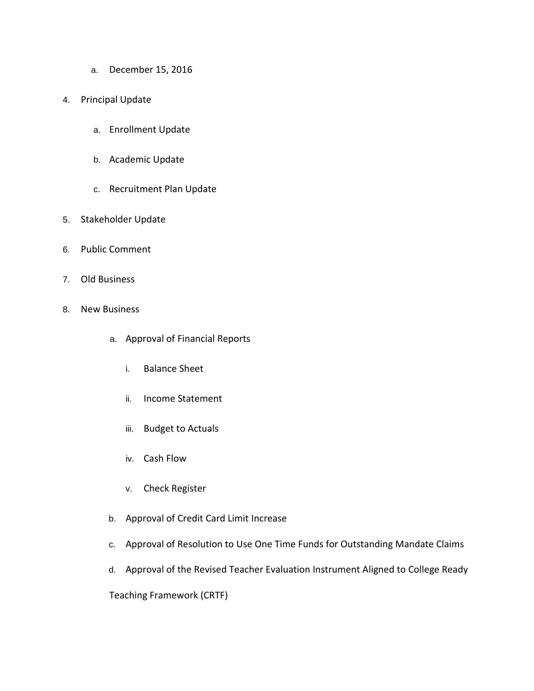- a. December 15, 2016
- 4. Principal Update
	- a. Enrollment Update
	- b. Academic Update
	- c. Recruitment Plan Update
- 5. Stakeholder Update
- 6. Public Comment
- 7. Old Business
- 8. New Business
	- a. Approval of Financial Reports
		- i. Balance Sheet
		- ii. Income Statement
		- iii. Budget to Actuals
		- iv. Cash Flow
		- v. Check Register
	- b. Approval of Credit Card Limit Increase
	- c. Approval of Resolution to Use One Time Funds for Outstanding Mandate Claims
	- d. Approval of the Revised Teacher Evaluation Instrument Aligned to College Ready

Teaching Framework (CRTF)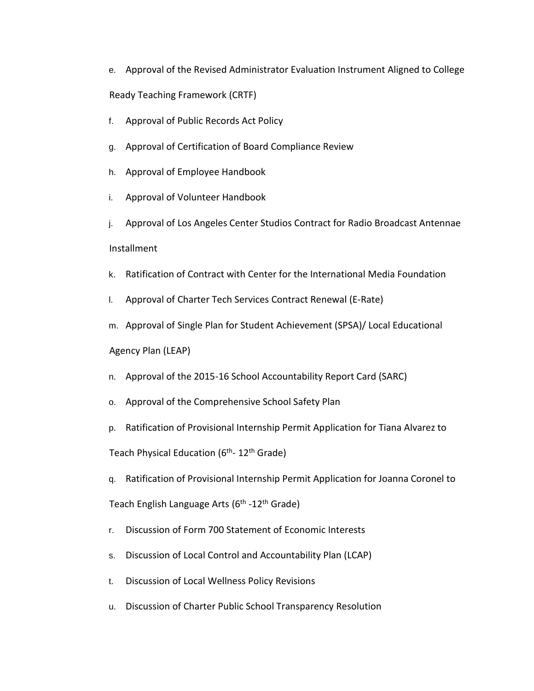- e. Approval of the Revised Administrator Evaluation Instrument Aligned to College Ready Teaching Framework (CRTF)
- f. Approval of Public Records Act Policy
- g. Approval of Certification of Board Compliance Review
- h. Approval of Employee Handbook
- i. Approval of Volunteer Handbook
- j. Approval of Los Angeles Center Studios Contract for Radio Broadcast Antennae Installment
- k. Ratification of Contract with Center for the International Media Foundation
- l. Approval of Charter Tech Services Contract Renewal (E-Rate)
- m. Approval of Single Plan for Student Achievement (SPSA)/ Local Educational
- Agency Plan (LEAP)
- n. Approval of the 2015-16 School Accountability Report Card (SARC)
- o. Approval of the Comprehensive School Safety Plan
- p. Ratification of Provisional Internship Permit Application for Tiana Alvarez to

Teach Physical Education (6<sup>th</sup>- 12<sup>th</sup> Grade)

q. Ratification of Provisional Internship Permit Application for Joanna Coronel to

Teach English Language Arts (6<sup>th</sup> -12<sup>th</sup> Grade)

- r. Discussion of Form 700 Statement of Economic Interests
- s. Discussion of Local Control and Accountability Plan (LCAP)
- t. Discussion of Local Wellness Policy Revisions
- u. Discussion of Charter Public School Transparency Resolution